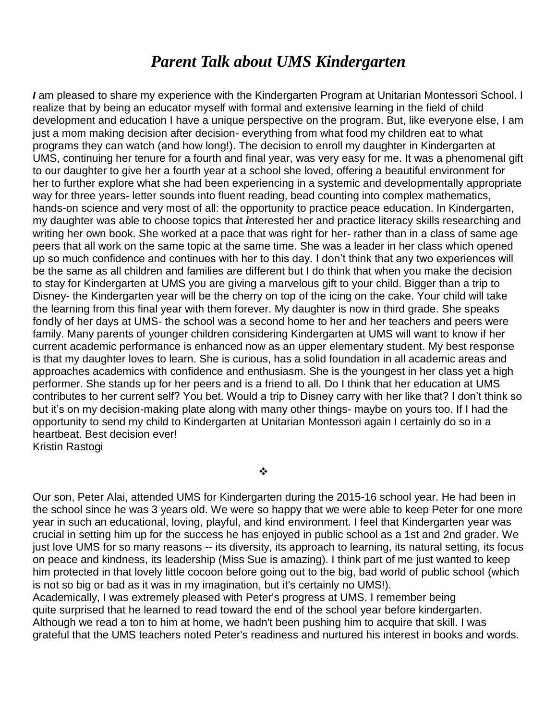## *Parent Talk about UMS Kindergarten*

*I* am pleased to share my experience with the Kindergarten Program at Unitarian Montessori School. I realize that by being an educator myself with formal and extensive learning in the field of child development and education I have a unique perspective on the program. But, like everyone else, I am just a mom making decision after decision- everything from what food my children eat to what programs they can watch (and how long!). The decision to enroll my daughter in Kindergarten at UMS, continuing her tenure for a fourth and final year, was very easy for me. It was a phenomenal gift to our daughter to give her a fourth year at a school she loved, offering a beautiful environment for her to further explore what she had been experiencing in a systemic and developmentally appropriate way for three years- letter sounds into fluent reading, bead counting into complex mathematics, hands-on science and very most of all: the opportunity to practice peace education. In Kindergarten, my daughter was able to choose topics that *i*nterested her and practice literacy skills researching and writing her own book. She worked at a pace that was right for her- rather than in a class of same age peers that all work on the same topic at the same time. She was a leader in her class which opened up so much confidence and continues with her to this day. I don't think that any two experiences will be the same as all children and families are different but I do think that when you make the decision to stay for Kindergarten at UMS you are giving a marvelous gift to your child. Bigger than a trip to Disney- the Kindergarten year will be the cherry on top of the icing on the cake. Your child will take the learning from this final year with them forever. My daughter is now in third grade. She speaks fondly of her days at UMS- the school was a second home to her and her teachers and peers were family. Many parents of younger children considering Kindergarten at UMS will want to know if her current academic performance is enhanced now as an upper elementary student. My best response is that my daughter loves to learn. She is curious, has a solid foundation in all academic areas and approaches academics with confidence and enthusiasm. She is the youngest in her class yet a high performer. She stands up for her peers and is a friend to all. Do I think that her education at UMS contributes to her current self? You bet. Would a trip to Disney carry with her like that? I don't think so but it's on my decision-making plate along with many other things- maybe on yours too. If I had the opportunity to send my child to Kindergarten at Unitarian Montessori again I certainly do so in a heartbeat. Best decision ever! Kristin Rastogi

❖

Our son, Peter Alai, attended UMS for Kindergarten during the 2015-16 school year. He had been in the school since he was 3 years old. We were so happy that we were able to keep Peter for one more year in such an educational, loving, playful, and kind environment. I feel that Kindergarten year was crucial in setting him up for the success he has enjoyed in public school as a 1st and 2nd grader. We just love UMS for so many reasons -- its diversity, its approach to learning, its natural setting, its focus on peace and kindness, its leadership (Miss Sue is amazing). I think part of me just wanted to keep him protected in that lovely little cocoon before going out to the big, bad world of public school (which is not so big or bad as it was in my imagination, but it's certainly no UMS!).

Academically, I was extremely pleased with Peter's progress at UMS. I remember being quite surprised that he learned to read toward the end of the school year before kindergarten. Although we read a ton to him at home, we hadn't been pushing him to acquire that skill. I was grateful that the UMS teachers noted Peter's readiness and nurtured his interest in books and words.